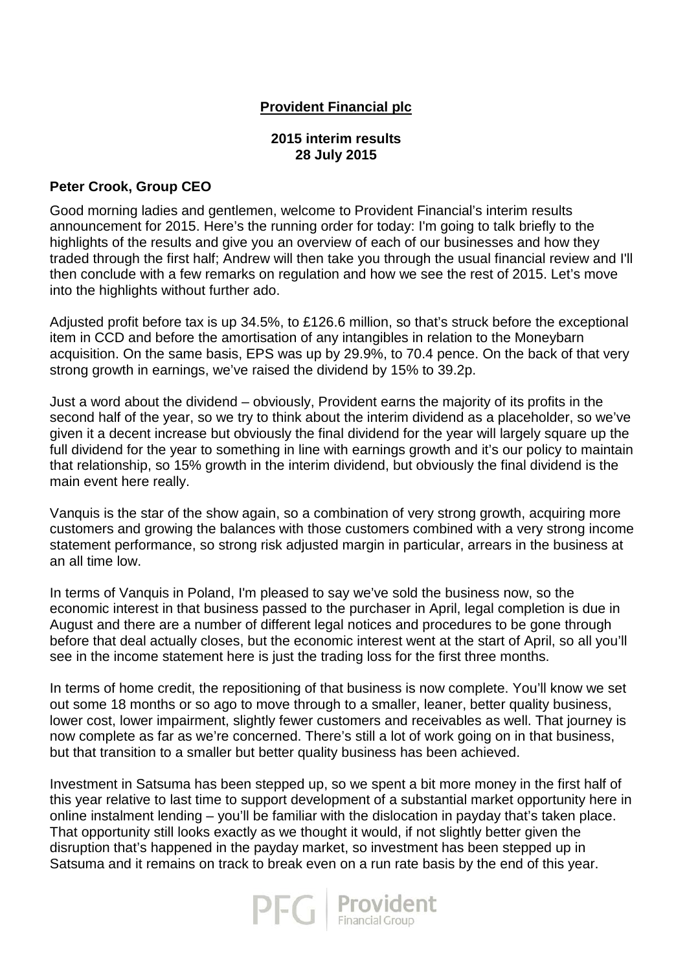# **Provident Financial plc**

#### **2015 interim results 28 July 2015**

### **Peter Crook, Group CEO**

Good morning ladies and gentlemen, welcome to Provident Financial's interim results announcement for 2015. Here's the running order for today: I'm going to talk briefly to the highlights of the results and give you an overview of each of our businesses and how they traded through the first half; Andrew will then take you through the usual financial review and I'll then conclude with a few remarks on regulation and how we see the rest of 2015. Let's move into the highlights without further ado.

Adjusted profit before tax is up 34.5%, to £126.6 million, so that's struck before the exceptional item in CCD and before the amortisation of any intangibles in relation to the Moneybarn acquisition. On the same basis, EPS was up by 29.9%, to 70.4 pence. On the back of that very strong growth in earnings, we've raised the dividend by 15% to 39.2p.

Just a word about the dividend – obviously, Provident earns the majority of its profits in the second half of the year, so we try to think about the interim dividend as a placeholder, so we've given it a decent increase but obviously the final dividend for the year will largely square up the full dividend for the year to something in line with earnings growth and it's our policy to maintain that relationship, so 15% growth in the interim dividend, but obviously the final dividend is the main event here really.

Vanquis is the star of the show again, so a combination of very strong growth, acquiring more customers and growing the balances with those customers combined with a very strong income statement performance, so strong risk adjusted margin in particular, arrears in the business at an all time low.

In terms of Vanquis in Poland, I'm pleased to say we've sold the business now, so the economic interest in that business passed to the purchaser in April, legal completion is due in August and there are a number of different legal notices and procedures to be gone through before that deal actually closes, but the economic interest went at the start of April, so all you'll see in the income statement here is just the trading loss for the first three months.

In terms of home credit, the repositioning of that business is now complete. You'll know we set out some 18 months or so ago to move through to a smaller, leaner, better quality business, lower cost, lower impairment, slightly fewer customers and receivables as well. That journey is now complete as far as we're concerned. There's still a lot of work going on in that business, but that transition to a smaller but better quality business has been achieved.

Investment in Satsuma has been stepped up, so we spent a bit more money in the first half of this year relative to last time to support development of a substantial market opportunity here in online instalment lending – you'll be familiar with the dislocation in payday that's taken place. That opportunity still looks exactly as we thought it would, if not slightly better given the disruption that's happened in the payday market, so investment has been stepped up in Satsuma and it remains on track to break even on a run rate basis by the end of this year.

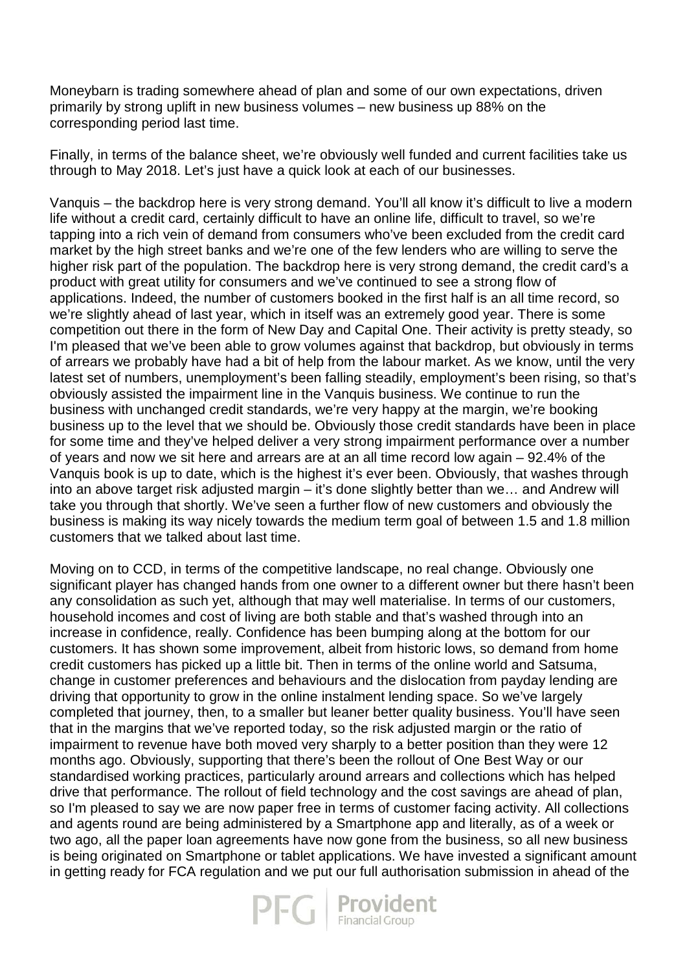Moneybarn is trading somewhere ahead of plan and some of our own expectations, driven primarily by strong uplift in new business volumes – new business up 88% on the corresponding period last time.

Finally, in terms of the balance sheet, we're obviously well funded and current facilities take us through to May 2018. Let's just have a quick look at each of our businesses.

Vanquis – the backdrop here is very strong demand. You'll all know it's difficult to live a modern life without a credit card, certainly difficult to have an online life, difficult to travel, so we're tapping into a rich vein of demand from consumers who've been excluded from the credit card market by the high street banks and we're one of the few lenders who are willing to serve the higher risk part of the population. The backdrop here is very strong demand, the credit card's a product with great utility for consumers and we've continued to see a strong flow of applications. Indeed, the number of customers booked in the first half is an all time record, so we're slightly ahead of last year, which in itself was an extremely good year. There is some competition out there in the form of New Day and Capital One. Their activity is pretty steady, so I'm pleased that we've been able to grow volumes against that backdrop, but obviously in terms of arrears we probably have had a bit of help from the labour market. As we know, until the very latest set of numbers, unemployment's been falling steadily, employment's been rising, so that's obviously assisted the impairment line in the Vanquis business. We continue to run the business with unchanged credit standards, we're very happy at the margin, we're booking business up to the level that we should be. Obviously those credit standards have been in place for some time and they've helped deliver a very strong impairment performance over a number of years and now we sit here and arrears are at an all time record low again – 92.4% of the Vanquis book is up to date, which is the highest it's ever been. Obviously, that washes through into an above target risk adjusted margin – it's done slightly better than we… and Andrew will take you through that shortly. We've seen a further flow of new customers and obviously the business is making its way nicely towards the medium term goal of between 1.5 and 1.8 million customers that we talked about last time.

Moving on to CCD, in terms of the competitive landscape, no real change. Obviously one significant player has changed hands from one owner to a different owner but there hasn't been any consolidation as such yet, although that may well materialise. In terms of our customers, household incomes and cost of living are both stable and that's washed through into an increase in confidence, really. Confidence has been bumping along at the bottom for our customers. It has shown some improvement, albeit from historic lows, so demand from home credit customers has picked up a little bit. Then in terms of the online world and Satsuma, change in customer preferences and behaviours and the dislocation from payday lending are driving that opportunity to grow in the online instalment lending space. So we've largely completed that journey, then, to a smaller but leaner better quality business. You'll have seen that in the margins that we've reported today, so the risk adjusted margin or the ratio of impairment to revenue have both moved very sharply to a better position than they were 12 months ago. Obviously, supporting that there's been the rollout of One Best Way or our standardised working practices, particularly around arrears and collections which has helped drive that performance. The rollout of field technology and the cost savings are ahead of plan, so I'm pleased to say we are now paper free in terms of customer facing activity. All collections and agents round are being administered by a Smartphone app and literally, as of a week or two ago, all the paper loan agreements have now gone from the business, so all new business is being originated on Smartphone or tablet applications. We have invested a significant amount in getting ready for FCA regulation and we put our full authorisation submission in ahead of the

 $\mathsf{P}\mathsf{F}\mathsf{G}$  **Provident**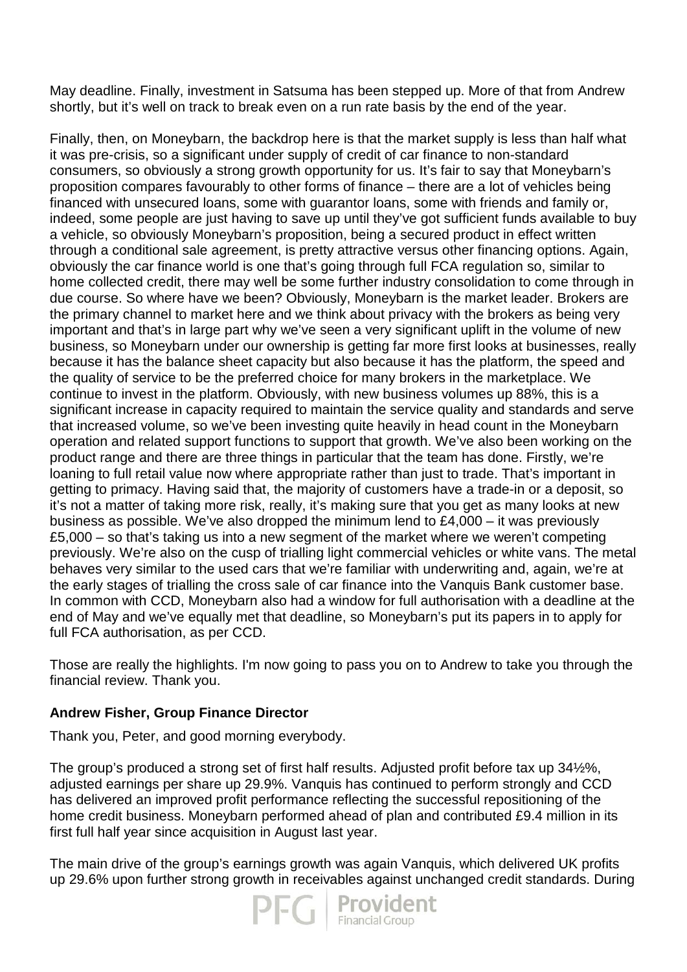May deadline. Finally, investment in Satsuma has been stepped up. More of that from Andrew shortly, but it's well on track to break even on a run rate basis by the end of the year.

Finally, then, on Moneybarn, the backdrop here is that the market supply is less than half what it was pre-crisis, so a significant under supply of credit of car finance to non-standard consumers, so obviously a strong growth opportunity for us. It's fair to say that Moneybarn's proposition compares favourably to other forms of finance – there are a lot of vehicles being financed with unsecured loans, some with guarantor loans, some with friends and family or, indeed, some people are just having to save up until they've got sufficient funds available to buy a vehicle, so obviously Moneybarn's proposition, being a secured product in effect written through a conditional sale agreement, is pretty attractive versus other financing options. Again, obviously the car finance world is one that's going through full FCA regulation so, similar to home collected credit, there may well be some further industry consolidation to come through in due course. So where have we been? Obviously, Moneybarn is the market leader. Brokers are the primary channel to market here and we think about privacy with the brokers as being very important and that's in large part why we've seen a very significant uplift in the volume of new business, so Moneybarn under our ownership is getting far more first looks at businesses, really because it has the balance sheet capacity but also because it has the platform, the speed and the quality of service to be the preferred choice for many brokers in the marketplace. We continue to invest in the platform. Obviously, with new business volumes up 88%, this is a significant increase in capacity required to maintain the service quality and standards and serve that increased volume, so we've been investing quite heavily in head count in the Moneybarn operation and related support functions to support that growth. We've also been working on the product range and there are three things in particular that the team has done. Firstly, we're loaning to full retail value now where appropriate rather than just to trade. That's important in getting to primacy. Having said that, the majority of customers have a trade-in or a deposit, so it's not a matter of taking more risk, really, it's making sure that you get as many looks at new business as possible. We've also dropped the minimum lend to £4,000 – it was previously £5,000 – so that's taking us into a new segment of the market where we weren't competing previously. We're also on the cusp of trialling light commercial vehicles or white vans. The metal behaves very similar to the used cars that we're familiar with underwriting and, again, we're at the early stages of trialling the cross sale of car finance into the Vanquis Bank customer base. In common with CCD, Moneybarn also had a window for full authorisation with a deadline at the end of May and we've equally met that deadline, so Moneybarn's put its papers in to apply for full FCA authorisation, as per CCD.

Those are really the highlights. I'm now going to pass you on to Andrew to take you through the financial review. Thank you.

# **Andrew Fisher, Group Finance Director**

Thank you, Peter, and good morning everybody.

The group's produced a strong set of first half results. Adjusted profit before tax up 34½%, adjusted earnings per share up 29.9%. Vanquis has continued to perform strongly and CCD has delivered an improved profit performance reflecting the successful repositioning of the home credit business. Moneybarn performed ahead of plan and contributed £9.4 million in its first full half year since acquisition in August last year.

The main drive of the group's earnings growth was again Vanquis, which delivered UK profits up 29.6% upon further strong growth in receivables against unchanged credit standards. During

 $\overline{-}\bigcap_{\text{Financial Group}}$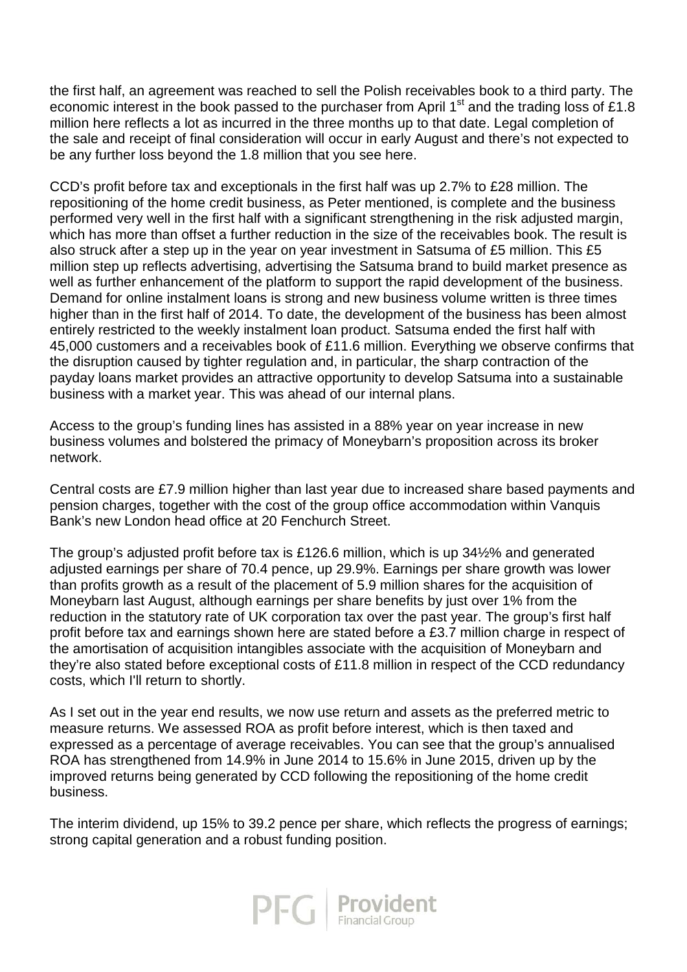the first half, an agreement was reached to sell the Polish receivables book to a third party. The economic interest in the book passed to the purchaser from April 1<sup>st</sup> and the trading loss of £1.8 million here reflects a lot as incurred in the three months up to that date. Legal completion of the sale and receipt of final consideration will occur in early August and there's not expected to be any further loss beyond the 1.8 million that you see here.

CCD's profit before tax and exceptionals in the first half was up 2.7% to £28 million. The repositioning of the home credit business, as Peter mentioned, is complete and the business performed very well in the first half with a significant strengthening in the risk adjusted margin, which has more than offset a further reduction in the size of the receivables book. The result is also struck after a step up in the year on year investment in Satsuma of £5 million. This £5 million step up reflects advertising, advertising the Satsuma brand to build market presence as well as further enhancement of the platform to support the rapid development of the business. Demand for online instalment loans is strong and new business volume written is three times higher than in the first half of 2014. To date, the development of the business has been almost entirely restricted to the weekly instalment loan product. Satsuma ended the first half with 45,000 customers and a receivables book of £11.6 million. Everything we observe confirms that the disruption caused by tighter regulation and, in particular, the sharp contraction of the payday loans market provides an attractive opportunity to develop Satsuma into a sustainable business with a market year. This was ahead of our internal plans.

Access to the group's funding lines has assisted in a 88% year on year increase in new business volumes and bolstered the primacy of Moneybarn's proposition across its broker network.

Central costs are £7.9 million higher than last year due to increased share based payments and pension charges, together with the cost of the group office accommodation within Vanquis Bank's new London head office at 20 Fenchurch Street.

The group's adjusted profit before tax is £126.6 million, which is up 34½% and generated adjusted earnings per share of 70.4 pence, up 29.9%. Earnings per share growth was lower than profits growth as a result of the placement of 5.9 million shares for the acquisition of Moneybarn last August, although earnings per share benefits by just over 1% from the reduction in the statutory rate of UK corporation tax over the past year. The group's first half profit before tax and earnings shown here are stated before a £3.7 million charge in respect of the amortisation of acquisition intangibles associate with the acquisition of Moneybarn and they're also stated before exceptional costs of £11.8 million in respect of the CCD redundancy costs, which I'll return to shortly.

As I set out in the year end results, we now use return and assets as the preferred metric to measure returns. We assessed ROA as profit before interest, which is then taxed and expressed as a percentage of average receivables. You can see that the group's annualised ROA has strengthened from 14.9% in June 2014 to 15.6% in June 2015, driven up by the improved returns being generated by CCD following the repositioning of the home credit business.

The interim dividend, up 15% to 39.2 pence per share, which reflects the progress of earnings; strong capital generation and a robust funding position.

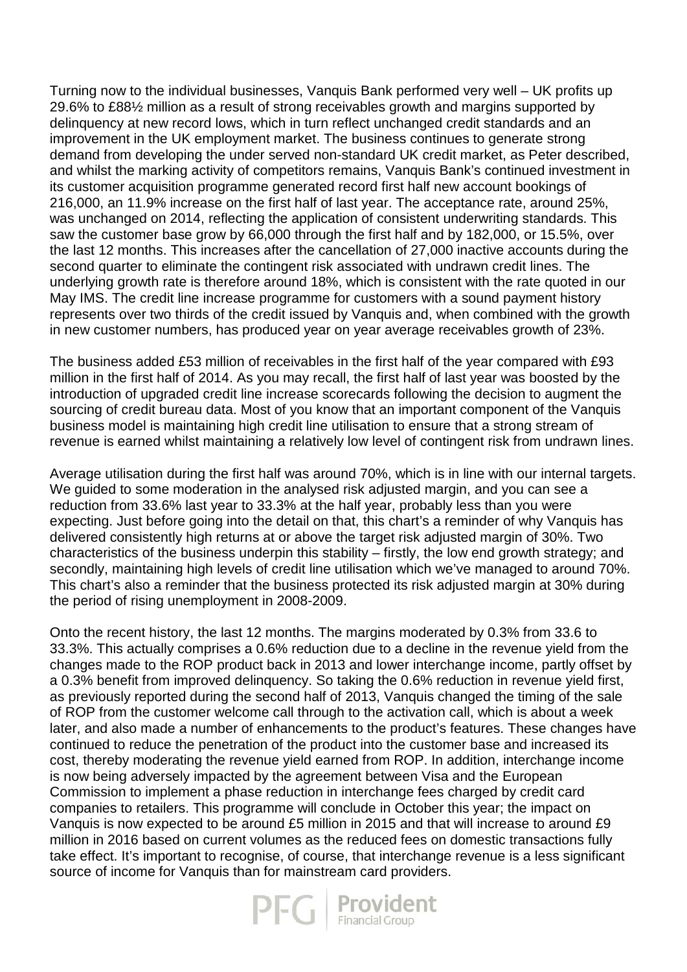Turning now to the individual businesses, Vanquis Bank performed very well – UK profits up 29.6% to £88½ million as a result of strong receivables growth and margins supported by delinquency at new record lows, which in turn reflect unchanged credit standards and an improvement in the UK employment market. The business continues to generate strong demand from developing the under served non-standard UK credit market, as Peter described, and whilst the marking activity of competitors remains, Vanquis Bank's continued investment in its customer acquisition programme generated record first half new account bookings of 216,000, an 11.9% increase on the first half of last year. The acceptance rate, around 25%, was unchanged on 2014, reflecting the application of consistent underwriting standards. This saw the customer base grow by 66,000 through the first half and by 182,000, or 15.5%, over the last 12 months. This increases after the cancellation of 27,000 inactive accounts during the second quarter to eliminate the contingent risk associated with undrawn credit lines. The underlying growth rate is therefore around 18%, which is consistent with the rate quoted in our May IMS. The credit line increase programme for customers with a sound payment history represents over two thirds of the credit issued by Vanquis and, when combined with the growth in new customer numbers, has produced year on year average receivables growth of 23%.

The business added £53 million of receivables in the first half of the year compared with £93 million in the first half of 2014. As you may recall, the first half of last year was boosted by the introduction of upgraded credit line increase scorecards following the decision to augment the sourcing of credit bureau data. Most of you know that an important component of the Vanquis business model is maintaining high credit line utilisation to ensure that a strong stream of revenue is earned whilst maintaining a relatively low level of contingent risk from undrawn lines.

Average utilisation during the first half was around 70%, which is in line with our internal targets. We guided to some moderation in the analysed risk adjusted margin, and you can see a reduction from 33.6% last year to 33.3% at the half year, probably less than you were expecting. Just before going into the detail on that, this chart's a reminder of why Vanquis has delivered consistently high returns at or above the target risk adjusted margin of 30%. Two characteristics of the business underpin this stability – firstly, the low end growth strategy; and secondly, maintaining high levels of credit line utilisation which we've managed to around 70%. This chart's also a reminder that the business protected its risk adjusted margin at 30% during the period of rising unemployment in 2008-2009.

Onto the recent history, the last 12 months. The margins moderated by 0.3% from 33.6 to 33.3%. This actually comprises a 0.6% reduction due to a decline in the revenue yield from the changes made to the ROP product back in 2013 and lower interchange income, partly offset by a 0.3% benefit from improved delinquency. So taking the 0.6% reduction in revenue yield first, as previously reported during the second half of 2013, Vanquis changed the timing of the sale of ROP from the customer welcome call through to the activation call, which is about a week later, and also made a number of enhancements to the product's features. These changes have continued to reduce the penetration of the product into the customer base and increased its cost, thereby moderating the revenue yield earned from ROP. In addition, interchange income is now being adversely impacted by the agreement between Visa and the European Commission to implement a phase reduction in interchange fees charged by credit card companies to retailers. This programme will conclude in October this year; the impact on Vanquis is now expected to be around £5 million in 2015 and that will increase to around £9 million in 2016 based on current volumes as the reduced fees on domestic transactions fully take effect. It's important to recognise, of course, that interchange revenue is a less significant source of income for Vanquis than for mainstream card providers.

 $\mathsf{P}\mathsf{F}\mathsf{G}\mid\mathsf{Frouident}_{\scriptscriptstyle{\mathsf{Financial Group}}}$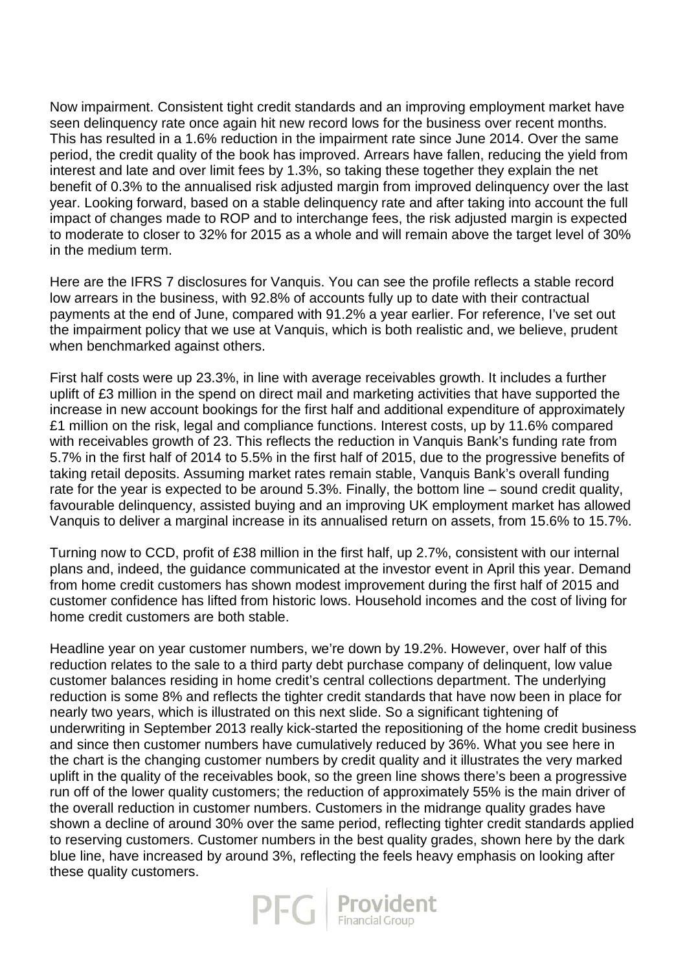Now impairment. Consistent tight credit standards and an improving employment market have seen delinguency rate once again hit new record lows for the business over recent months. This has resulted in a 1.6% reduction in the impairment rate since June 2014. Over the same period, the credit quality of the book has improved. Arrears have fallen, reducing the yield from interest and late and over limit fees by 1.3%, so taking these together they explain the net benefit of 0.3% to the annualised risk adjusted margin from improved delinquency over the last year. Looking forward, based on a stable delinquency rate and after taking into account the full impact of changes made to ROP and to interchange fees, the risk adjusted margin is expected to moderate to closer to 32% for 2015 as a whole and will remain above the target level of 30% in the medium term.

Here are the IFRS 7 disclosures for Vanquis. You can see the profile reflects a stable record low arrears in the business, with 92.8% of accounts fully up to date with their contractual payments at the end of June, compared with 91.2% a year earlier. For reference, I've set out the impairment policy that we use at Vanquis, which is both realistic and, we believe, prudent when benchmarked against others.

First half costs were up 23.3%, in line with average receivables growth. It includes a further uplift of £3 million in the spend on direct mail and marketing activities that have supported the increase in new account bookings for the first half and additional expenditure of approximately £1 million on the risk, legal and compliance functions. Interest costs, up by 11.6% compared with receivables growth of 23. This reflects the reduction in Vanquis Bank's funding rate from 5.7% in the first half of 2014 to 5.5% in the first half of 2015, due to the progressive benefits of taking retail deposits. Assuming market rates remain stable, Vanquis Bank's overall funding rate for the year is expected to be around 5.3%. Finally, the bottom line – sound credit quality, favourable delinquency, assisted buying and an improving UK employment market has allowed Vanquis to deliver a marginal increase in its annualised return on assets, from 15.6% to 15.7%.

Turning now to CCD, profit of £38 million in the first half, up 2.7%, consistent with our internal plans and, indeed, the guidance communicated at the investor event in April this year. Demand from home credit customers has shown modest improvement during the first half of 2015 and customer confidence has lifted from historic lows. Household incomes and the cost of living for home credit customers are both stable.

Headline year on year customer numbers, we're down by 19.2%. However, over half of this reduction relates to the sale to a third party debt purchase company of delinquent, low value customer balances residing in home credit's central collections department. The underlying reduction is some 8% and reflects the tighter credit standards that have now been in place for nearly two years, which is illustrated on this next slide. So a significant tightening of underwriting in September 2013 really kick-started the repositioning of the home credit business and since then customer numbers have cumulatively reduced by 36%. What you see here in the chart is the changing customer numbers by credit quality and it illustrates the very marked uplift in the quality of the receivables book, so the green line shows there's been a progressive run off of the lower quality customers; the reduction of approximately 55% is the main driver of the overall reduction in customer numbers. Customers in the midrange quality grades have shown a decline of around 30% over the same period, reflecting tighter credit standards applied to reserving customers. Customer numbers in the best quality grades, shown here by the dark blue line, have increased by around 3%, reflecting the feels heavy emphasis on looking after these quality customers.

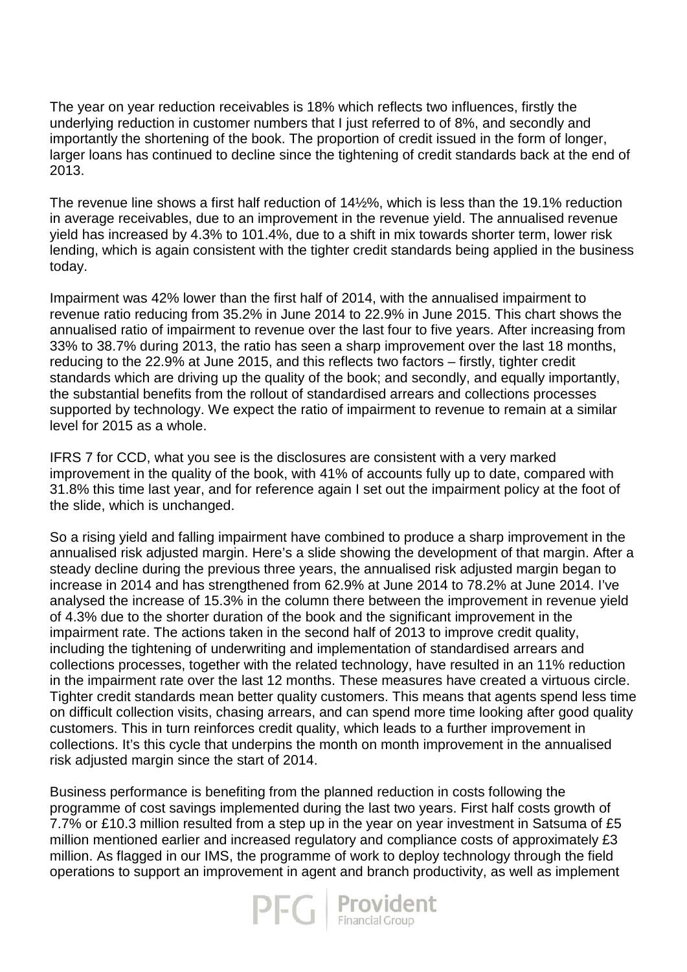The year on year reduction receivables is 18% which reflects two influences, firstly the underlying reduction in customer numbers that I just referred to of 8%, and secondly and importantly the shortening of the book. The proportion of credit issued in the form of longer, larger loans has continued to decline since the tightening of credit standards back at the end of 2013.

The revenue line shows a first half reduction of 14½%, which is less than the 19.1% reduction in average receivables, due to an improvement in the revenue yield. The annualised revenue yield has increased by 4.3% to 101.4%, due to a shift in mix towards shorter term, lower risk lending, which is again consistent with the tighter credit standards being applied in the business today.

Impairment was 42% lower than the first half of 2014, with the annualised impairment to revenue ratio reducing from 35.2% in June 2014 to 22.9% in June 2015. This chart shows the annualised ratio of impairment to revenue over the last four to five years. After increasing from 33% to 38.7% during 2013, the ratio has seen a sharp improvement over the last 18 months, reducing to the 22.9% at June 2015, and this reflects two factors – firstly, tighter credit standards which are driving up the quality of the book; and secondly, and equally importantly, the substantial benefits from the rollout of standardised arrears and collections processes supported by technology. We expect the ratio of impairment to revenue to remain at a similar level for 2015 as a whole.

IFRS 7 for CCD, what you see is the disclosures are consistent with a very marked improvement in the quality of the book, with 41% of accounts fully up to date, compared with 31.8% this time last year, and for reference again I set out the impairment policy at the foot of the slide, which is unchanged.

So a rising yield and falling impairment have combined to produce a sharp improvement in the annualised risk adjusted margin. Here's a slide showing the development of that margin. After a steady decline during the previous three years, the annualised risk adjusted margin began to increase in 2014 and has strengthened from 62.9% at June 2014 to 78.2% at June 2014. I've analysed the increase of 15.3% in the column there between the improvement in revenue yield of 4.3% due to the shorter duration of the book and the significant improvement in the impairment rate. The actions taken in the second half of 2013 to improve credit quality, including the tightening of underwriting and implementation of standardised arrears and collections processes, together with the related technology, have resulted in an 11% reduction in the impairment rate over the last 12 months. These measures have created a virtuous circle. Tighter credit standards mean better quality customers. This means that agents spend less time on difficult collection visits, chasing arrears, and can spend more time looking after good quality customers. This in turn reinforces credit quality, which leads to a further improvement in collections. It's this cycle that underpins the month on month improvement in the annualised risk adjusted margin since the start of 2014.

Business performance is benefiting from the planned reduction in costs following the programme of cost savings implemented during the last two years. First half costs growth of 7.7% or £10.3 million resulted from a step up in the year on year investment in Satsuma of £5 million mentioned earlier and increased regulatory and compliance costs of approximately £3 million. As flagged in our IMS, the programme of work to deploy technology through the field operations to support an improvement in agent and branch productivity, as well as implement

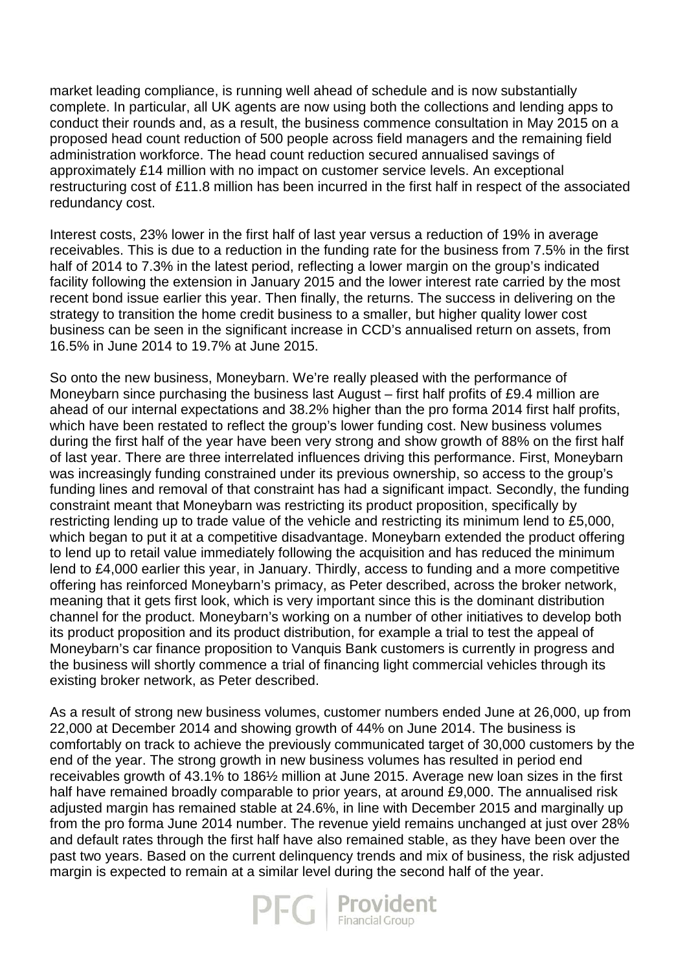market leading compliance, is running well ahead of schedule and is now substantially complete. In particular, all UK agents are now using both the collections and lending apps to conduct their rounds and, as a result, the business commence consultation in May 2015 on a proposed head count reduction of 500 people across field managers and the remaining field administration workforce. The head count reduction secured annualised savings of approximately £14 million with no impact on customer service levels. An exceptional restructuring cost of £11.8 million has been incurred in the first half in respect of the associated redundancy cost.

Interest costs, 23% lower in the first half of last year versus a reduction of 19% in average receivables. This is due to a reduction in the funding rate for the business from 7.5% in the first half of 2014 to 7.3% in the latest period, reflecting a lower margin on the group's indicated facility following the extension in January 2015 and the lower interest rate carried by the most recent bond issue earlier this year. Then finally, the returns. The success in delivering on the strategy to transition the home credit business to a smaller, but higher quality lower cost business can be seen in the significant increase in CCD's annualised return on assets, from 16.5% in June 2014 to 19.7% at June 2015.

So onto the new business, Moneybarn. We're really pleased with the performance of Moneybarn since purchasing the business last August – first half profits of £9.4 million are ahead of our internal expectations and 38.2% higher than the pro forma 2014 first half profits, which have been restated to reflect the group's lower funding cost. New business volumes during the first half of the year have been very strong and show growth of 88% on the first half of last year. There are three interrelated influences driving this performance. First, Moneybarn was increasingly funding constrained under its previous ownership, so access to the group's funding lines and removal of that constraint has had a significant impact. Secondly, the funding constraint meant that Moneybarn was restricting its product proposition, specifically by restricting lending up to trade value of the vehicle and restricting its minimum lend to £5,000, which began to put it at a competitive disadvantage. Moneybarn extended the product offering to lend up to retail value immediately following the acquisition and has reduced the minimum lend to £4,000 earlier this year, in January. Thirdly, access to funding and a more competitive offering has reinforced Moneybarn's primacy, as Peter described, across the broker network, meaning that it gets first look, which is very important since this is the dominant distribution channel for the product. Moneybarn's working on a number of other initiatives to develop both its product proposition and its product distribution, for example a trial to test the appeal of Moneybarn's car finance proposition to Vanquis Bank customers is currently in progress and the business will shortly commence a trial of financing light commercial vehicles through its existing broker network, as Peter described.

As a result of strong new business volumes, customer numbers ended June at 26,000, up from 22,000 at December 2014 and showing growth of 44% on June 2014. The business is comfortably on track to achieve the previously communicated target of 30,000 customers by the end of the year. The strong growth in new business volumes has resulted in period end receivables growth of 43.1% to 186½ million at June 2015. Average new loan sizes in the first half have remained broadly comparable to prior years, at around £9,000. The annualised risk adjusted margin has remained stable at 24.6%, in line with December 2015 and marginally up from the pro forma June 2014 number. The revenue yield remains unchanged at just over 28% and default rates through the first half have also remained stable, as they have been over the past two years. Based on the current delinquency trends and mix of business, the risk adjusted margin is expected to remain at a similar level during the second half of the year.

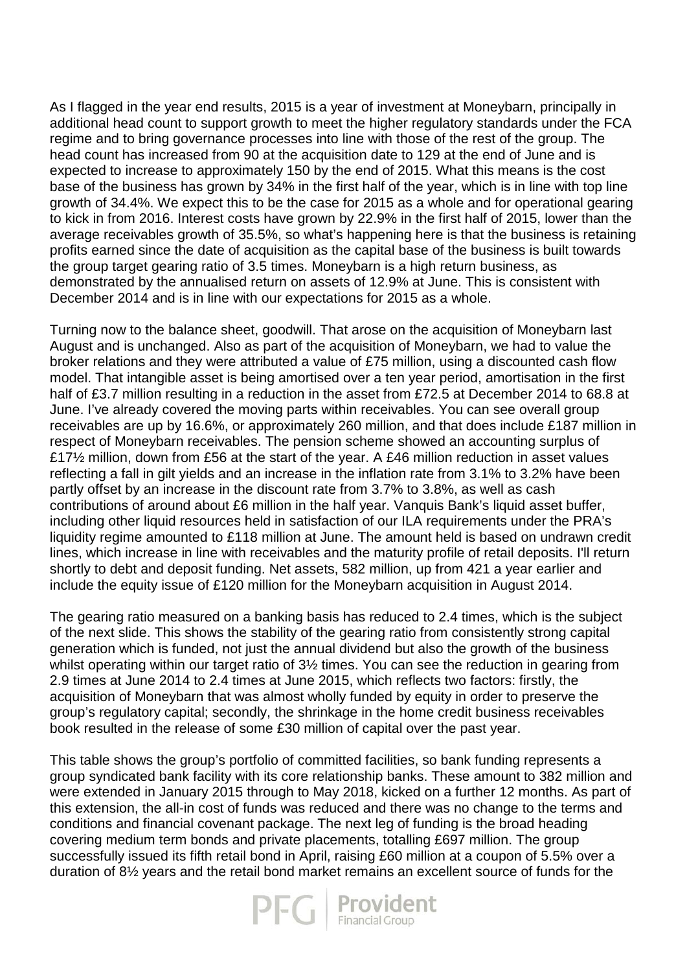As I flagged in the year end results, 2015 is a year of investment at Moneybarn, principally in additional head count to support growth to meet the higher regulatory standards under the FCA regime and to bring governance processes into line with those of the rest of the group. The head count has increased from 90 at the acquisition date to 129 at the end of June and is expected to increase to approximately 150 by the end of 2015. What this means is the cost base of the business has grown by 34% in the first half of the year, which is in line with top line growth of 34.4%. We expect this to be the case for 2015 as a whole and for operational gearing to kick in from 2016. Interest costs have grown by 22.9% in the first half of 2015, lower than the average receivables growth of 35.5%, so what's happening here is that the business is retaining profits earned since the date of acquisition as the capital base of the business is built towards the group target gearing ratio of 3.5 times. Moneybarn is a high return business, as demonstrated by the annualised return on assets of 12.9% at June. This is consistent with December 2014 and is in line with our expectations for 2015 as a whole.

Turning now to the balance sheet, goodwill. That arose on the acquisition of Moneybarn last August and is unchanged. Also as part of the acquisition of Moneybarn, we had to value the broker relations and they were attributed a value of £75 million, using a discounted cash flow model. That intangible asset is being amortised over a ten year period, amortisation in the first half of £3.7 million resulting in a reduction in the asset from £72.5 at December 2014 to 68.8 at June. I've already covered the moving parts within receivables. You can see overall group receivables are up by 16.6%, or approximately 260 million, and that does include £187 million in respect of Moneybarn receivables. The pension scheme showed an accounting surplus of £17½ million, down from £56 at the start of the year. A £46 million reduction in asset values reflecting a fall in gilt yields and an increase in the inflation rate from 3.1% to 3.2% have been partly offset by an increase in the discount rate from 3.7% to 3.8%, as well as cash contributions of around about £6 million in the half year. Vanquis Bank's liquid asset buffer, including other liquid resources held in satisfaction of our ILA requirements under the PRA's liquidity regime amounted to £118 million at June. The amount held is based on undrawn credit lines, which increase in line with receivables and the maturity profile of retail deposits. I'll return shortly to debt and deposit funding. Net assets, 582 million, up from 421 a year earlier and include the equity issue of £120 million for the Moneybarn acquisition in August 2014.

The gearing ratio measured on a banking basis has reduced to 2.4 times, which is the subject of the next slide. This shows the stability of the gearing ratio from consistently strong capital generation which is funded, not just the annual dividend but also the growth of the business whilst operating within our target ratio of 3<sup>1/2</sup> times. You can see the reduction in gearing from 2.9 times at June 2014 to 2.4 times at June 2015, which reflects two factors: firstly, the acquisition of Moneybarn that was almost wholly funded by equity in order to preserve the group's regulatory capital; secondly, the shrinkage in the home credit business receivables book resulted in the release of some £30 million of capital over the past year.

This table shows the group's portfolio of committed facilities, so bank funding represents a group syndicated bank facility with its core relationship banks. These amount to 382 million and were extended in January 2015 through to May 2018, kicked on a further 12 months. As part of this extension, the all-in cost of funds was reduced and there was no change to the terms and conditions and financial covenant package. The next leg of funding is the broad heading covering medium term bonds and private placements, totalling £697 million. The group successfully issued its fifth retail bond in April, raising £60 million at a coupon of 5.5% over a duration of 8½ years and the retail bond market remains an excellent source of funds for the

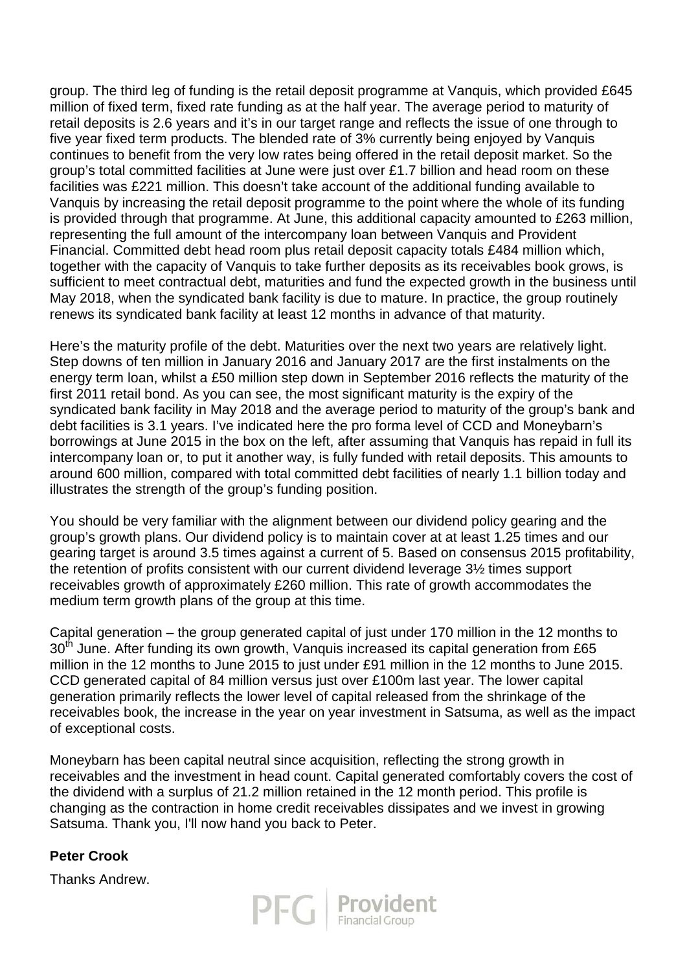group. The third leg of funding is the retail deposit programme at Vanquis, which provided £645 million of fixed term, fixed rate funding as at the half year. The average period to maturity of retail deposits is 2.6 years and it's in our target range and reflects the issue of one through to five year fixed term products. The blended rate of 3% currently being enjoyed by Vanquis continues to benefit from the very low rates being offered in the retail deposit market. So the group's total committed facilities at June were just over £1.7 billion and head room on these facilities was £221 million. This doesn't take account of the additional funding available to Vanquis by increasing the retail deposit programme to the point where the whole of its funding is provided through that programme. At June, this additional capacity amounted to £263 million, representing the full amount of the intercompany loan between Vanquis and Provident Financial. Committed debt head room plus retail deposit capacity totals £484 million which, together with the capacity of Vanquis to take further deposits as its receivables book grows, is sufficient to meet contractual debt, maturities and fund the expected growth in the business until May 2018, when the syndicated bank facility is due to mature. In practice, the group routinely renews its syndicated bank facility at least 12 months in advance of that maturity.

Here's the maturity profile of the debt. Maturities over the next two years are relatively light. Step downs of ten million in January 2016 and January 2017 are the first instalments on the energy term loan, whilst a £50 million step down in September 2016 reflects the maturity of the first 2011 retail bond. As you can see, the most significant maturity is the expiry of the syndicated bank facility in May 2018 and the average period to maturity of the group's bank and debt facilities is 3.1 years. I've indicated here the pro forma level of CCD and Moneybarn's borrowings at June 2015 in the box on the left, after assuming that Vanquis has repaid in full its intercompany loan or, to put it another way, is fully funded with retail deposits. This amounts to around 600 million, compared with total committed debt facilities of nearly 1.1 billion today and illustrates the strength of the group's funding position.

You should be very familiar with the alignment between our dividend policy gearing and the group's growth plans. Our dividend policy is to maintain cover at at least 1.25 times and our gearing target is around 3.5 times against a current of 5. Based on consensus 2015 profitability, the retention of profits consistent with our current dividend leverage 3½ times support receivables growth of approximately £260 million. This rate of growth accommodates the medium term growth plans of the group at this time.

Capital generation – the group generated capital of just under 170 million in the 12 months to 30<sup>th</sup> June. After funding its own growth, Vanquis increased its capital generation from £65 million in the 12 months to June 2015 to just under £91 million in the 12 months to June 2015. CCD generated capital of 84 million versus just over £100m last year. The lower capital generation primarily reflects the lower level of capital released from the shrinkage of the receivables book, the increase in the year on year investment in Satsuma, as well as the impact of exceptional costs.

Moneybarn has been capital neutral since acquisition, reflecting the strong growth in receivables and the investment in head count. Capital generated comfortably covers the cost of the dividend with a surplus of 21.2 million retained in the 12 month period. This profile is changing as the contraction in home credit receivables dissipates and we invest in growing Satsuma. Thank you, I'll now hand you back to Peter.

# **Peter Crook**

Thanks Andrew.

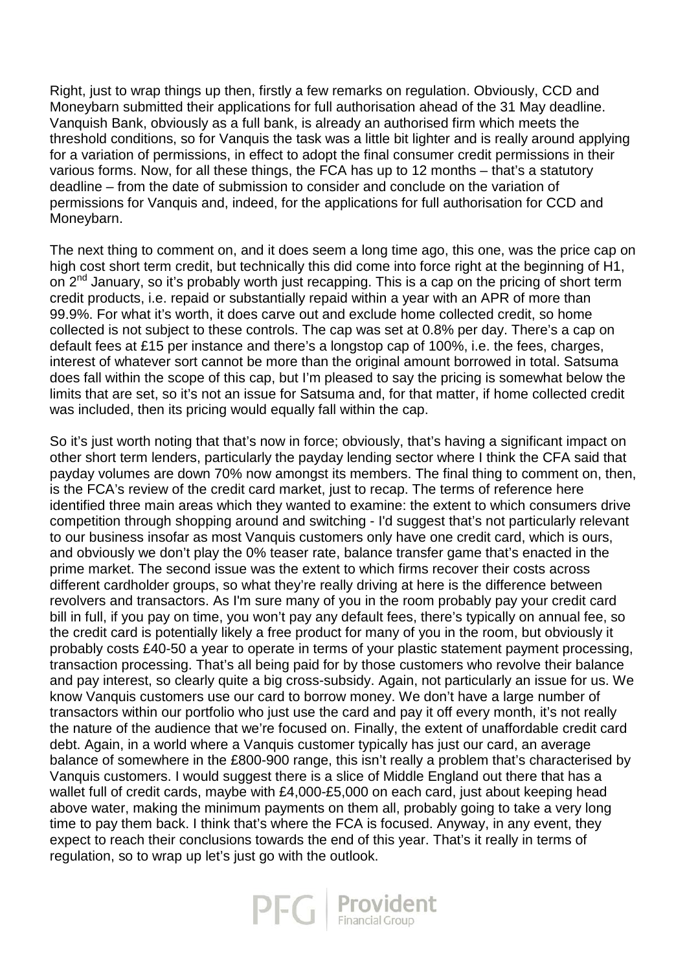Right, just to wrap things up then, firstly a few remarks on regulation. Obviously, CCD and Moneybarn submitted their applications for full authorisation ahead of the 31 May deadline. Vanquish Bank, obviously as a full bank, is already an authorised firm which meets the threshold conditions, so for Vanquis the task was a little bit lighter and is really around applying for a variation of permissions, in effect to adopt the final consumer credit permissions in their various forms. Now, for all these things, the FCA has up to 12 months – that's a statutory deadline – from the date of submission to consider and conclude on the variation of permissions for Vanquis and, indeed, for the applications for full authorisation for CCD and Moneybarn.

The next thing to comment on, and it does seem a long time ago, this one, was the price cap on high cost short term credit, but technically this did come into force right at the beginning of H1, on 2<sup>nd</sup> January, so it's probably worth just recapping. This is a cap on the pricing of short term credit products, i.e. repaid or substantially repaid within a year with an APR of more than 99.9%. For what it's worth, it does carve out and exclude home collected credit, so home collected is not subject to these controls. The cap was set at 0.8% per day. There's a cap on default fees at £15 per instance and there's a longstop cap of 100%, i.e. the fees, charges, interest of whatever sort cannot be more than the original amount borrowed in total. Satsuma does fall within the scope of this cap, but I'm pleased to say the pricing is somewhat below the limits that are set, so it's not an issue for Satsuma and, for that matter, if home collected credit was included, then its pricing would equally fall within the cap.

So it's just worth noting that that's now in force; obviously, that's having a significant impact on other short term lenders, particularly the payday lending sector where I think the CFA said that payday volumes are down 70% now amongst its members. The final thing to comment on, then, is the FCA's review of the credit card market, just to recap. The terms of reference here identified three main areas which they wanted to examine: the extent to which consumers drive competition through shopping around and switching - I'd suggest that's not particularly relevant to our business insofar as most Vanquis customers only have one credit card, which is ours, and obviously we don't play the 0% teaser rate, balance transfer game that's enacted in the prime market. The second issue was the extent to which firms recover their costs across different cardholder groups, so what they're really driving at here is the difference between revolvers and transactors. As I'm sure many of you in the room probably pay your credit card bill in full, if you pay on time, you won't pay any default fees, there's typically on annual fee, so the credit card is potentially likely a free product for many of you in the room, but obviously it probably costs £40-50 a year to operate in terms of your plastic statement payment processing, transaction processing. That's all being paid for by those customers who revolve their balance and pay interest, so clearly quite a big cross-subsidy. Again, not particularly an issue for us. We know Vanquis customers use our card to borrow money. We don't have a large number of transactors within our portfolio who just use the card and pay it off every month, it's not really the nature of the audience that we're focused on. Finally, the extent of unaffordable credit card debt. Again, in a world where a Vanquis customer typically has just our card, an average balance of somewhere in the £800-900 range, this isn't really a problem that's characterised by Vanquis customers. I would suggest there is a slice of Middle England out there that has a wallet full of credit cards, maybe with £4,000-£5,000 on each card, just about keeping head above water, making the minimum payments on them all, probably going to take a very long time to pay them back. I think that's where the FCA is focused. Anyway, in any event, they expect to reach their conclusions towards the end of this year. That's it really in terms of regulation, so to wrap up let's just go with the outlook.

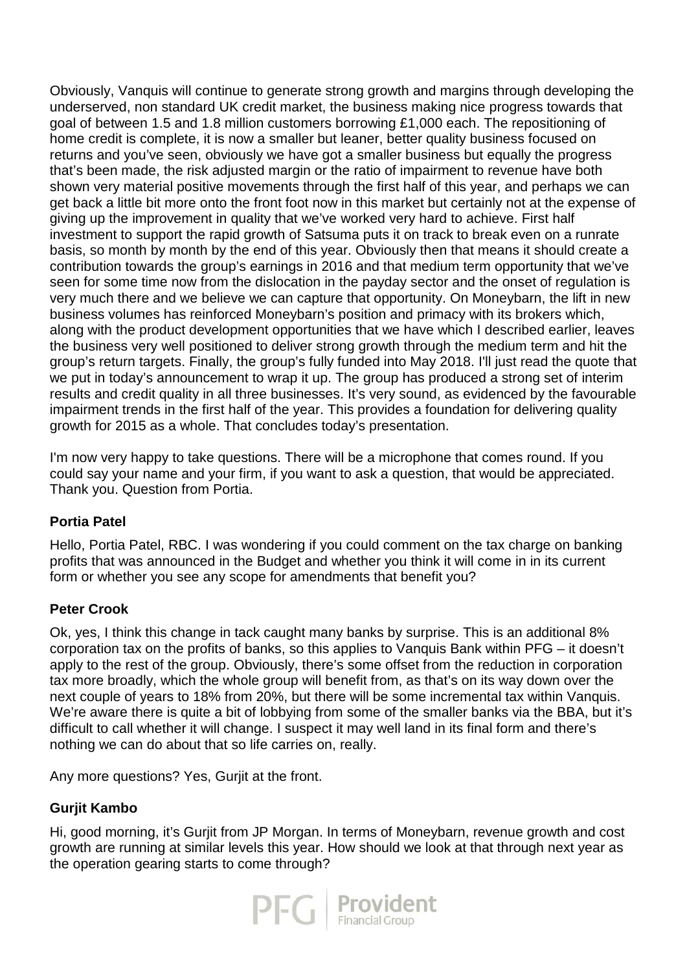Obviously, Vanquis will continue to generate strong growth and margins through developing the underserved, non standard UK credit market, the business making nice progress towards that goal of between 1.5 and 1.8 million customers borrowing £1,000 each. The repositioning of home credit is complete, it is now a smaller but leaner, better quality business focused on returns and you've seen, obviously we have got a smaller business but equally the progress that's been made, the risk adjusted margin or the ratio of impairment to revenue have both shown very material positive movements through the first half of this year, and perhaps we can get back a little bit more onto the front foot now in this market but certainly not at the expense of giving up the improvement in quality that we've worked very hard to achieve. First half investment to support the rapid growth of Satsuma puts it on track to break even on a runrate basis, so month by month by the end of this year. Obviously then that means it should create a contribution towards the group's earnings in 2016 and that medium term opportunity that we've seen for some time now from the dislocation in the payday sector and the onset of regulation is very much there and we believe we can capture that opportunity. On Moneybarn, the lift in new business volumes has reinforced Moneybarn's position and primacy with its brokers which, along with the product development opportunities that we have which I described earlier, leaves the business very well positioned to deliver strong growth through the medium term and hit the group's return targets. Finally, the group's fully funded into May 2018. I'll just read the quote that we put in today's announcement to wrap it up. The group has produced a strong set of interim results and credit quality in all three businesses. It's very sound, as evidenced by the favourable impairment trends in the first half of the year. This provides a foundation for delivering quality growth for 2015 as a whole. That concludes today's presentation.

I'm now very happy to take questions. There will be a microphone that comes round. If you could say your name and your firm, if you want to ask a question, that would be appreciated. Thank you. Question from Portia.

# **Portia Patel**

Hello, Portia Patel, RBC. I was wondering if you could comment on the tax charge on banking profits that was announced in the Budget and whether you think it will come in in its current form or whether you see any scope for amendments that benefit you?

# **Peter Crook**

Ok, yes, I think this change in tack caught many banks by surprise. This is an additional 8% corporation tax on the profits of banks, so this applies to Vanquis Bank within PFG – it doesn't apply to the rest of the group. Obviously, there's some offset from the reduction in corporation tax more broadly, which the whole group will benefit from, as that's on its way down over the next couple of years to 18% from 20%, but there will be some incremental tax within Vanquis. We're aware there is quite a bit of lobbying from some of the smaller banks via the BBA, but it's difficult to call whether it will change. I suspect it may well land in its final form and there's nothing we can do about that so life carries on, really.

Any more questions? Yes, Gurjit at the front.

# **Gurjit Kambo**

Hi, good morning, it's Gurjit from JP Morgan. In terms of Moneybarn, revenue growth and cost growth are running at similar levels this year. How should we look at that through next year as the operation gearing starts to come through?